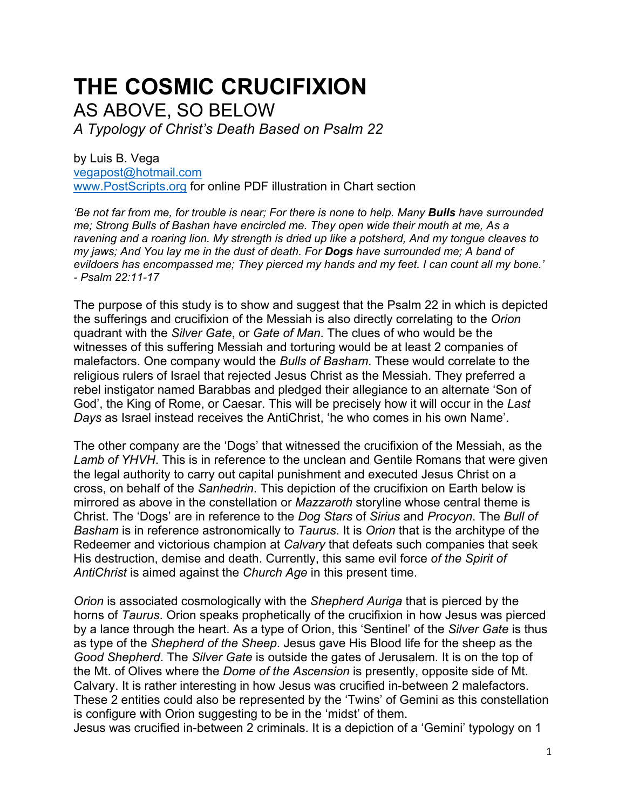## **THE COSMIC CRUCIFIXION**

AS ABOVE, SO BELOW

*A Typology of Christ's Death Based on Psalm 22* 

by Luis B. Vega [vegapost@hotmail.com](mailto:vegapost@hotmail.com) [www.PostScripts.org](http://www.postscripts.org/) for online PDF illustration in Chart section

*'Be not far from me, for trouble is near; For there is none to help. Many Bulls have surrounded me; Strong Bulls of Bashan have encircled me. They open wide their mouth at me, As a ravening and a roaring lion. My strength is dried up like a potsherd, And my tongue cleaves to my jaws; And You lay me in the dust of death. For Dogs have surrounded me; A band of evildoers has encompassed me; They pierced my hands and my feet. I can count all my bone.' - Psalm 22:11-17*

The purpose of this study is to show and suggest that the Psalm 22 in which is depicted the sufferings and crucifixion of the Messiah is also directly correlating to the *Orion* quadrant with the *Silver Gate*, or *Gate of Man*. The clues of who would be the witnesses of this suffering Messiah and torturing would be at least 2 companies of malefactors. One company would the *Bulls of Basham*. These would correlate to the religious rulers of Israel that rejected Jesus Christ as the Messiah. They preferred a rebel instigator named Barabbas and pledged their allegiance to an alternate 'Son of God', the King of Rome, or Caesar. This will be precisely how it will occur in the *Last Days* as Israel instead receives the AntiChrist, 'he who comes in his own Name'.

The other company are the 'Dogs' that witnessed the crucifixion of the Messiah, as the *Lamb of YHVH*. This is in reference to the unclean and Gentile Romans that were given the legal authority to carry out capital punishment and executed Jesus Christ on a cross, on behalf of the *Sanhedrin*. This depiction of the crucifixion on Earth below is mirrored as above in the constellation or *Mazzaroth* storyline whose central theme is Christ. The 'Dogs' are in reference to the *Dog Stars* of *Sirius* and *Procyon*. The *Bull of Basham* is in reference astronomically to *Taurus*. It is *Orion* that is the architype of the Redeemer and victorious champion at *Calvary* that defeats such companies that seek His destruction, demise and death. Currently, this same evil force *of the Spirit of AntiChrist* is aimed against the *Church Age* in this present time.

*Orion* is associated cosmologically with the *Shepherd Auriga* that is pierced by the horns of *Taurus*. Orion speaks prophetically of the crucifixion in how Jesus was pierced by a lance through the heart. As a type of Orion, this 'Sentinel' of the *Silver Gate* is thus as type of the *Shepherd of the Sheep*. Jesus gave His Blood life for the sheep as the *Good Shepherd*. The *Silver Gate* is outside the gates of Jerusalem. It is on the top of the Mt. of Olives where the *Dome of the Ascension* is presently, opposite side of Mt. Calvary. It is rather interesting in how Jesus was crucified in-between 2 malefactors. These 2 entities could also be represented by the 'Twins' of Gemini as this constellation is configure with Orion suggesting to be in the 'midst' of them.

Jesus was crucified in-between 2 criminals. It is a depiction of a 'Gemini' typology on 1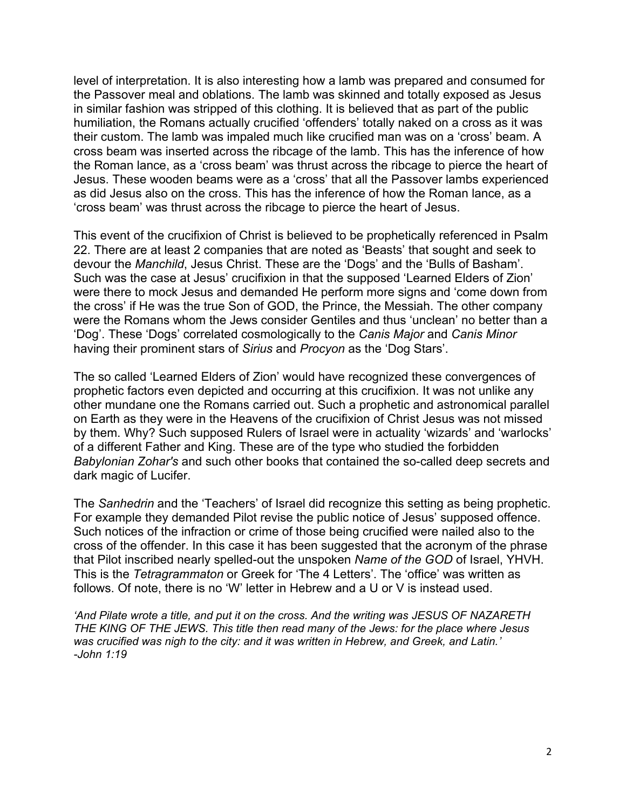level of interpretation. It is also interesting how a lamb was prepared and consumed for the Passover meal and oblations. The lamb was skinned and totally exposed as Jesus in similar fashion was stripped of this clothing. It is believed that as part of the public humiliation, the Romans actually crucified 'offenders' totally naked on a cross as it was their custom. The lamb was impaled much like crucified man was on a 'cross' beam. A cross beam was inserted across the ribcage of the lamb. This has the inference of how the Roman lance, as a 'cross beam' was thrust across the ribcage to pierce the heart of Jesus. These wooden beams were as a 'cross' that all the Passover lambs experienced as did Jesus also on the cross. This has the inference of how the Roman lance, as a 'cross beam' was thrust across the ribcage to pierce the heart of Jesus.

This event of the crucifixion of Christ is believed to be prophetically referenced in Psalm 22. There are at least 2 companies that are noted as 'Beasts' that sought and seek to devour the *Manchild*, Jesus Christ. These are the 'Dogs' and the 'Bulls of Basham'. Such was the case at Jesus' crucifixion in that the supposed 'Learned Elders of Zion' were there to mock Jesus and demanded He perform more signs and 'come down from the cross' if He was the true Son of GOD, the Prince, the Messiah. The other company were the Romans whom the Jews consider Gentiles and thus 'unclean' no better than a 'Dog'. These 'Dogs' correlated cosmologically to the *Canis Major* and *Canis Minor* having their prominent stars of *Sirius* and *Procyon* as the 'Dog Stars'.

The so called 'Learned Elders of Zion' would have recognized these convergences of prophetic factors even depicted and occurring at this crucifixion. It was not unlike any other mundane one the Romans carried out. Such a prophetic and astronomical parallel on Earth as they were in the Heavens of the crucifixion of Christ Jesus was not missed by them. Why? Such supposed Rulers of Israel were in actuality 'wizards' and 'warlocks' of a different Father and King. These are of the type who studied the forbidden *Babylonian Zohar's* and such other books that contained the so-called deep secrets and dark magic of Lucifer.

The *Sanhedrin* and the 'Teachers' of Israel did recognize this setting as being prophetic. For example they demanded Pilot revise the public notice of Jesus' supposed offence. Such notices of the infraction or crime of those being crucified were nailed also to the cross of the offender. In this case it has been suggested that the acronym of the phrase that Pilot inscribed nearly spelled-out the unspoken *Name of the GOD* of Israel, YHVH. This is the *Tetragrammaton* or Greek for 'The 4 Letters'. The 'office' was written as follows. Of note, there is no 'W' letter in Hebrew and a U or V is instead used.

*'And Pilate wrote a title, and put it on the cross. And the writing was JESUS OF NAZARETH THE KING OF THE JEWS. This title then read many of the Jews: for the place where Jesus was crucified was nigh to the city: and it was written in Hebrew, and Greek, and Latin.' -John 1:19*